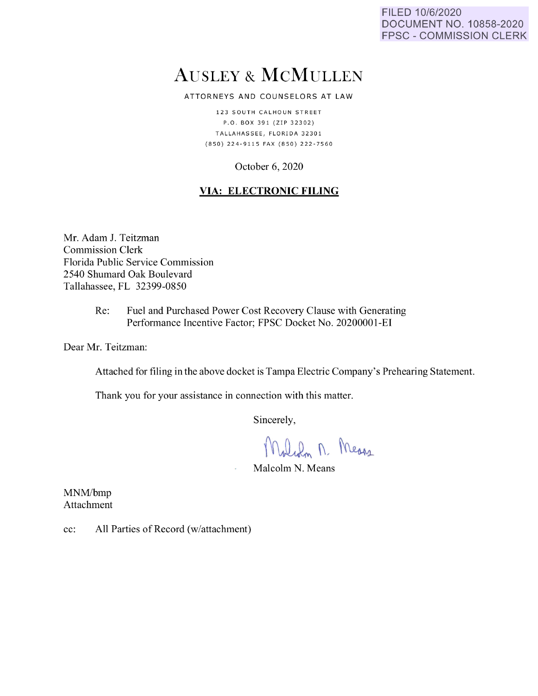FILED 10/6/2020 DOCUMENT NO. 10858-2020 FPSC - COMMISSION CLERK

# AUSLEY & McMULLEN

ATTORNEYS AND COUNSELORS AT LAW

123 SOUTH CALHOUN STREET P .O. BO X 3 9 1 { ZIP 3 2 30 2) TALLAHASSEE, FLORIDA 32301 { 8 50) 224 - 9 11 5 FAX {850) 222 - 7560

# October 6, 2020

# **VIA: ELECTRONIC FILING**

Mr. Adam J. Teitzman Commission Clerk Florida Public Service Commission 2540 Shumard Oak Boulevard Tallahassee, FL 32399-0850

> Re: Fuel and Purchased Power Cost Recovery Clause with Generating Performance Incentive Factor; FPSC Docket No. 20200001-EI

Dear Mr. Teitzman:

Attached for filing in the above docket is Tampa Electric Company's Prehearing Statement.

Thank you for your assistance in connection with this matter.

Sincerely,

Malch M. Means

Malcolm N. Means

MNM/bmp Attachment

cc: All Parties of Record (w/attachment)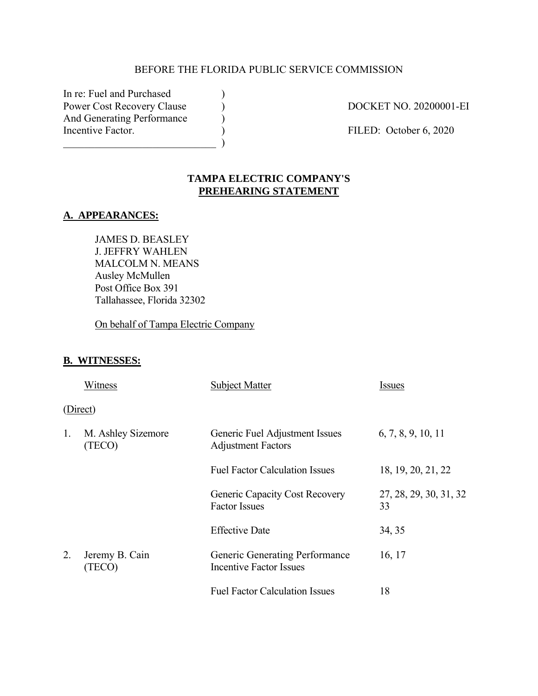# BEFORE THE FLORIDA PUBLIC SERVICE COMMISSION

In re: Fuel and Purchased (a) Power Cost Recovery Clause (a) DOCKET NO. 20200001-EI And Generating Performance  $\qquad \qquad$  ) Incentive Factor. (a) (b) FILED: October 6, 2020  $\qquad \qquad )$ 

# **TAMPA ELECTRIC COMPANY'S PREHEARING STATEMENT**

#### **A. APPEARANCES:**

JAMES D. BEASLEY J. JEFFRY WAHLEN MALCOLM N. MEANS Ausley McMullen Post Office Box 391 Tallahassee, Florida 32302

On behalf of Tampa Electric Company

# **B. WITNESSES:**

|    | Witness                      | <b>Subject Matter</b>                                            | <i>Issues</i>                |
|----|------------------------------|------------------------------------------------------------------|------------------------------|
|    | (Direct)                     |                                                                  |                              |
| 1. | M. Ashley Sizemore<br>(TECO) | Generic Fuel Adjustment Issues<br><b>Adjustment Factors</b>      | 6, 7, 8, 9, 10, 11           |
|    |                              | <b>Fuel Factor Calculation Issues</b>                            | 18, 19, 20, 21, 22           |
|    |                              | <b>Generic Capacity Cost Recovery</b><br><b>Factor Issues</b>    | 27, 28, 29, 30, 31, 32<br>33 |
|    |                              | <b>Effective Date</b>                                            | 34, 35                       |
| 2. | Jeremy B. Cain<br>(TECO)     | Generic Generating Performance<br><b>Incentive Factor Issues</b> | 16, 17                       |
|    |                              | <b>Fuel Factor Calculation Issues</b>                            | 18                           |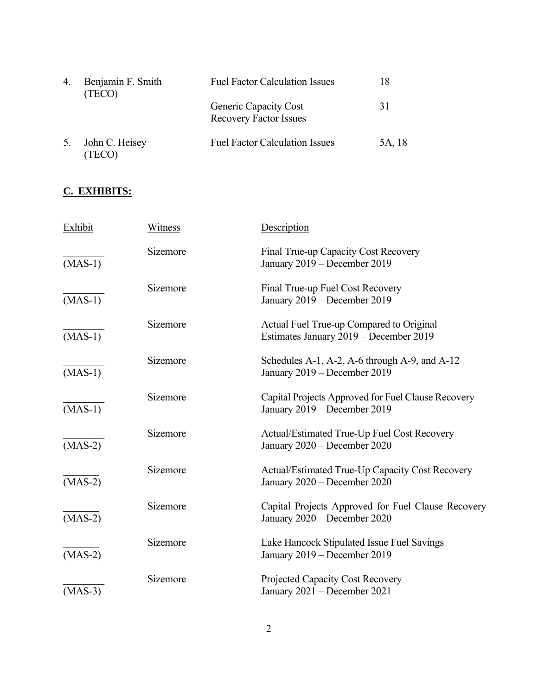| 4. | Benjamin F. Smith<br>(TECO) | <b>Fuel Factor Calculation Issues</b>                  |        |
|----|-----------------------------|--------------------------------------------------------|--------|
|    |                             | Generic Capacity Cost<br><b>Recovery Factor Issues</b> | 31     |
| 5. | John C. Heisey<br>(TECO)    | <b>Fuel Factor Calculation Issues</b>                  | 5A, 18 |

# **C. EXHIBITS:**

| Exhibit   | Witness  | Description                                                                        |
|-----------|----------|------------------------------------------------------------------------------------|
| $(MAS-1)$ | Sizemore | Final True-up Capacity Cost Recovery<br>January 2019 – December 2019               |
| $(MAS-1)$ | Sizemore | Final True-up Fuel Cost Recovery<br>January 2019 - December 2019                   |
| $(MAS-1)$ | Sizemore | Actual Fuel True-up Compared to Original<br>Estimates January 2019 – December 2019 |
| $(MAS-1)$ | Sizemore | Schedules A-1, A-2, A-6 through A-9, and A-12<br>January 2019 – December 2019      |
| $(MAS-1)$ | Sizemore | Capital Projects Approved for Fuel Clause Recovery<br>January 2019 – December 2019 |
| $(MAS-2)$ | Sizemore | Actual/Estimated True-Up Fuel Cost Recovery<br>January 2020 - December 2020        |
| $(MAS-2)$ | Sizemore | Actual/Estimated True-Up Capacity Cost Recovery<br>January 2020 - December 2020    |
| $(MAS-2)$ | Sizemore | Capital Projects Approved for Fuel Clause Recovery<br>January 2020 – December 2020 |
| $(MAS-2)$ | Sizemore | Lake Hancock Stipulated Issue Fuel Savings<br>January 2019 - December 2019         |
| $(MAS-3)$ | Sizemore | Projected Capacity Cost Recovery<br>January 2021 - December 2021                   |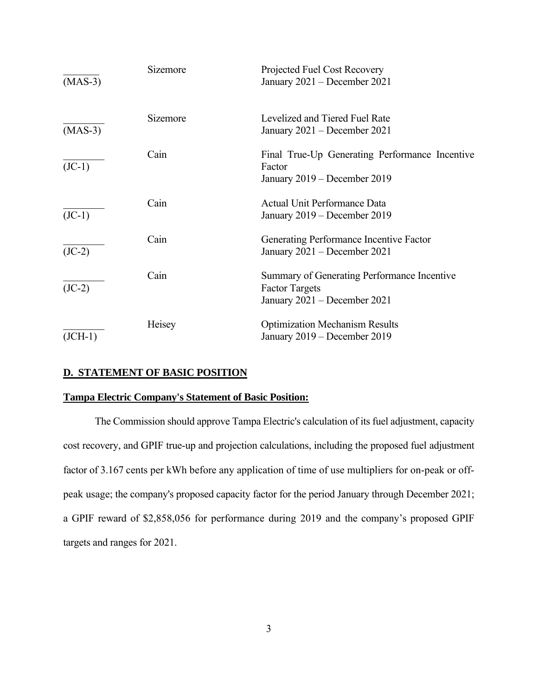| $(MAS-3)$ | Sizemore | Projected Fuel Cost Recovery<br>January 2021 - December 2021                                         |
|-----------|----------|------------------------------------------------------------------------------------------------------|
| $(MAS-3)$ | Sizemore | Levelized and Tiered Fuel Rate<br>January 2021 – December 2021                                       |
| $(JC-1)$  | Cain     | Final True-Up Generating Performance Incentive<br>Factor<br>January 2019 – December 2019             |
| $(JC-1)$  | Cain     | Actual Unit Performance Data<br>January 2019 – December 2019                                         |
| $(JC-2)$  | Cain     | Generating Performance Incentive Factor<br>January 2021 - December 2021                              |
| $(JC-2)$  | Cain     | Summary of Generating Performance Incentive<br><b>Factor Targets</b><br>January 2021 – December 2021 |
| $(JCH-1)$ | Heisey   | <b>Optimization Mechanism Results</b><br>January 2019 – December 2019                                |

# **D. STATEMENT OF BASIC POSITION**

# **Tampa Electric Company's Statement of Basic Position:**

The Commission should approve Tampa Electric's calculation of its fuel adjustment, capacity cost recovery, and GPIF true-up and projection calculations, including the proposed fuel adjustment factor of 3.167 cents per kWh before any application of time of use multipliers for on-peak or offpeak usage; the company's proposed capacity factor for the period January through December 2021; a GPIF reward of \$2,858,056 for performance during 2019 and the company's proposed GPIF targets and ranges for 2021.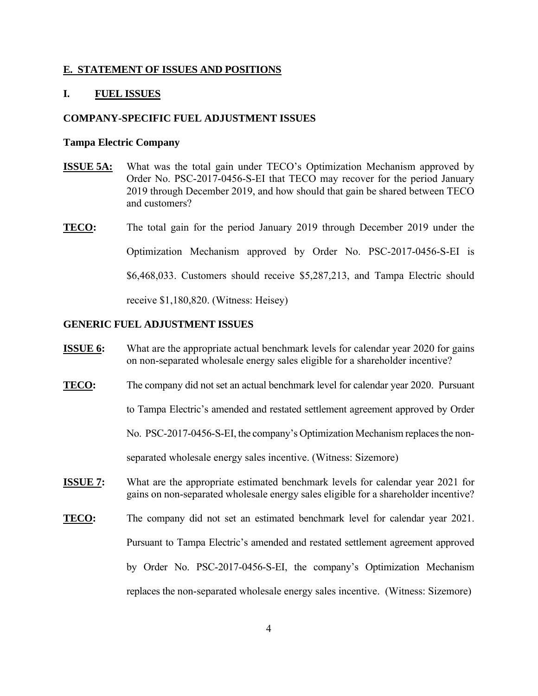#### **E. STATEMENT OF ISSUES AND POSITIONS**

#### **I. FUEL ISSUES**

#### **COMPANY-SPECIFIC FUEL ADJUSTMENT ISSUES**

#### **Tampa Electric Company**

- **ISSUE 5A:** What was the total gain under TECO's Optimization Mechanism approved by Order No. PSC-2017-0456-S-EI that TECO may recover for the period January 2019 through December 2019, and how should that gain be shared between TECO and customers?
- **TECO:** The total gain for the period January 2019 through December 2019 under the Optimization Mechanism approved by Order No. PSC-2017-0456-S-EI is \$6,468,033. Customers should receive \$5,287,213, and Tampa Electric should receive \$1,180,820. (Witness: Heisey)

#### **GENERIC FUEL ADJUSTMENT ISSUES**

- **ISSUE 6:** What are the appropriate actual benchmark levels for calendar year 2020 for gains on non-separated wholesale energy sales eligible for a shareholder incentive?
- **TECO:** The company did not set an actual benchmark level for calendar year 2020. Pursuant

to Tampa Electric's amended and restated settlement agreement approved by Order

No. PSC-2017-0456-S-EI, the company's Optimization Mechanism replaces the non-

separated wholesale energy sales incentive. (Witness: Sizemore)

- **ISSUE 7:** What are the appropriate estimated benchmark levels for calendar year 2021 for gains on non-separated wholesale energy sales eligible for a shareholder incentive?
- **TECO:** The company did not set an estimated benchmark level for calendar year 2021. Pursuant to Tampa Electric's amended and restated settlement agreement approved by Order No. PSC-2017-0456-S-EI, the company's Optimization Mechanism replaces the non-separated wholesale energy sales incentive. (Witness: Sizemore)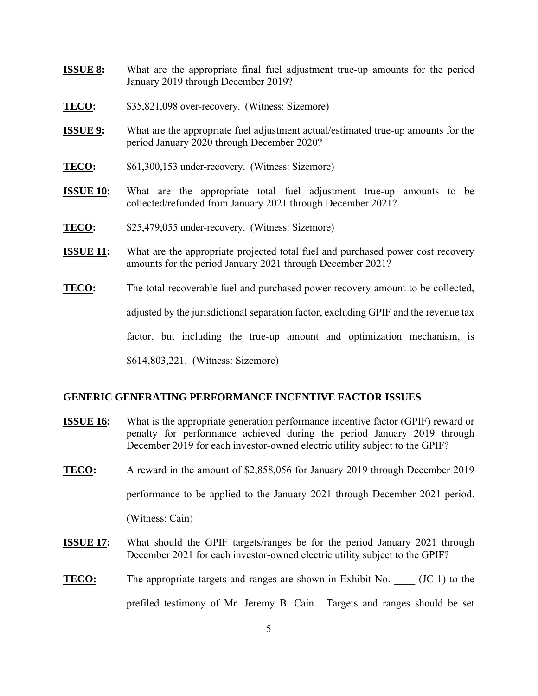- **ISSUE 8:** What are the appropriate final fuel adjustment true-up amounts for the period January 2019 through December 2019?
- **TECO:** \$35,821,098 over-recovery. (Witness: Sizemore)
- **ISSUE 9:** What are the appropriate fuel adjustment actual/estimated true-up amounts for the period January 2020 through December 2020?
- **TECO:** \$61,300,153 under-recovery. (Witness: Sizemore)
- **ISSUE 10:** What are the appropriate total fuel adjustment true-up amounts to be collected/refunded from January 2021 through December 2021?
- **TECO:** \$25,479,055 under-recovery. (Witness: Sizemore)
- **ISSUE 11:** What are the appropriate projected total fuel and purchased power cost recovery amounts for the period January 2021 through December 2021?
- **TECO:** The total recoverable fuel and purchased power recovery amount to be collected,

adjusted by the jurisdictional separation factor, excluding GPIF and the revenue tax

factor, but including the true-up amount and optimization mechanism, is

\$614,803,221. (Witness: Sizemore)

#### **GENERIC GENERATING PERFORMANCE INCENTIVE FACTOR ISSUES**

- **ISSUE 16:** What is the appropriate generation performance incentive factor (GPIF) reward or penalty for performance achieved during the period January 2019 through December 2019 for each investor-owned electric utility subject to the GPIF?
- **TECO:** A reward in the amount of \$2,858,056 for January 2019 through December 2019 performance to be applied to the January 2021 through December 2021 period.

(Witness: Cain)

- **ISSUE 17:** What should the GPIF targets/ranges be for the period January 2021 through December 2021 for each investor-owned electric utility subject to the GPIF?
- **TECO:** The appropriate targets and ranges are shown in Exhibit No. (JC-1) to the prefiled testimony of Mr. Jeremy B. Cain. Targets and ranges should be set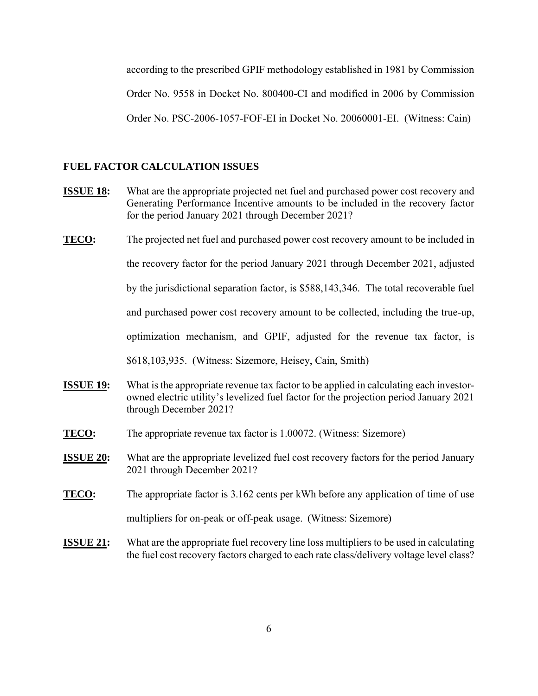according to the prescribed GPIF methodology established in 1981 by Commission Order No. 9558 in Docket No. 800400-CI and modified in 2006 by Commission Order No. PSC-2006-1057-FOF-EI in Docket No. 20060001-EI. (Witness: Cain)

#### **FUEL FACTOR CALCULATION ISSUES**

- **ISSUE 18:** What are the appropriate projected net fuel and purchased power cost recovery and Generating Performance Incentive amounts to be included in the recovery factor for the period January 2021 through December 2021?
- **TECO:** The projected net fuel and purchased power cost recovery amount to be included in the recovery factor for the period January 2021 through December 2021, adjusted by the jurisdictional separation factor, is \$588,143,346. The total recoverable fuel and purchased power cost recovery amount to be collected, including the true-up, optimization mechanism, and GPIF, adjusted for the revenue tax factor, is \$618,103,935. (Witness: Sizemore, Heisey, Cain, Smith)
- **ISSUE 19:** What is the appropriate revenue tax factor to be applied in calculating each investorowned electric utility's levelized fuel factor for the projection period January 2021 through December 2021?
- **TECO:** The appropriate revenue tax factor is 1.00072. (Witness: Sizemore)
- **ISSUE 20:** What are the appropriate levelized fuel cost recovery factors for the period January 2021 through December 2021?
- **TECO:** The appropriate factor is 3.162 cents per kWh before any application of time of use multipliers for on-peak or off-peak usage. (Witness: Sizemore)
- **ISSUE 21:** What are the appropriate fuel recovery line loss multipliers to be used in calculating the fuel cost recovery factors charged to each rate class/delivery voltage level class?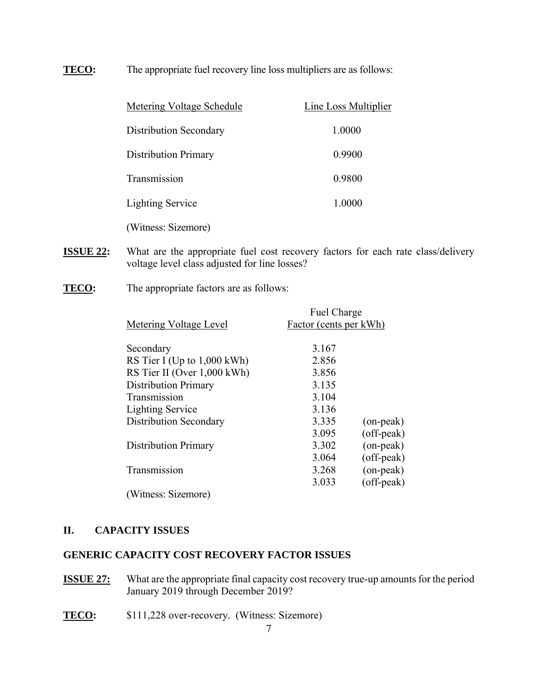# **TECO:** The appropriate fuel recovery line loss multipliers are as follows:

| Metering Voltage Schedule   | Line Loss Multiplier |
|-----------------------------|----------------------|
| Distribution Secondary      | 1.0000               |
| <b>Distribution Primary</b> | 0.9900               |
| Transmission                | 0.9800               |
| <b>Lighting Service</b>     | 1.0000               |
| (Witness: Sizemore)         |                      |

- **ISSUE 22:** What are the appropriate fuel cost recovery factors for each rate class/delivery voltage level class adjusted for line losses?
- **TECO:** The appropriate factors are as follows:

| Metering Voltage Level        | Fuel Charge<br>Factor (cents per kWh) |                 |
|-------------------------------|---------------------------------------|-----------------|
| Secondary                     | 3.167                                 |                 |
| RS Tier I (Up to $1,000$ kWh) | 2.856                                 |                 |
| RS Tier II (Over 1,000 kWh)   | 3.856                                 |                 |
| <b>Distribution Primary</b>   | 3.135                                 |                 |
| Transmission                  | 3.104                                 |                 |
| <b>Lighting Service</b>       | 3.136                                 |                 |
| <b>Distribution Secondary</b> | 3.335                                 | $($ on-peak $)$ |
|                               | 3.095                                 | (off-peak)      |
| <b>Distribution Primary</b>   | 3.302                                 | (on-peak)       |
|                               | 3.064                                 | (off-peak)      |
| Transmission                  | 3.268                                 | (on-peak)       |
|                               | 3.033                                 | (off-peak)      |
| (Witness: Sizemore)           |                                       |                 |

#### **II. CAPACITY ISSUES**

#### **GENERIC CAPACITY COST RECOVERY FACTOR ISSUES**

- **ISSUE 27:** What are the appropriate final capacity cost recovery true-up amounts for the period January 2019 through December 2019?
- **TECO:** \$111,228 over-recovery. (Witness: Sizemore)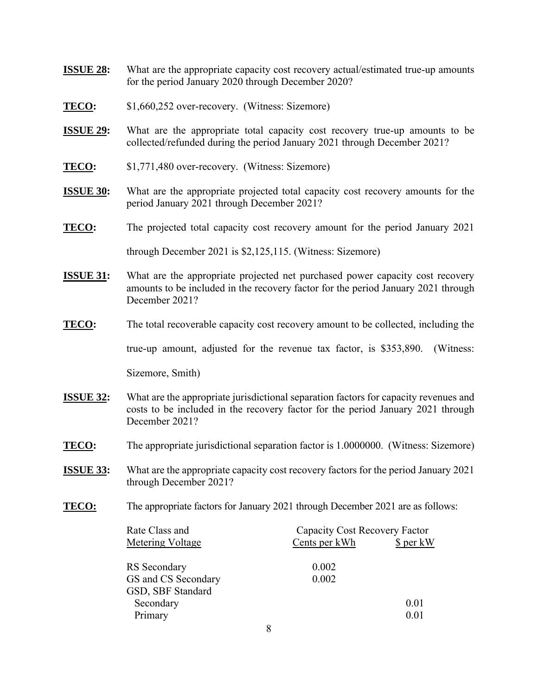- **ISSUE 28:** What are the appropriate capacity cost recovery actual/estimated true-up amounts for the period January 2020 through December 2020?
- **TECO:** \$1,660,252 over-recovery. (Witness: Sizemore)
- **ISSUE 29:** What are the appropriate total capacity cost recovery true-up amounts to be collected/refunded during the period January 2021 through December 2021?
- **TECO:** \$1,771,480 over-recovery. (Witness: Sizemore)
- **ISSUE 30:** What are the appropriate projected total capacity cost recovery amounts for the period January 2021 through December 2021?
- **TECO:** The projected total capacity cost recovery amount for the period January 2021

through December 2021 is \$2,125,115. (Witness: Sizemore)

- **ISSUE 31:** What are the appropriate projected net purchased power capacity cost recovery amounts to be included in the recovery factor for the period January 2021 through December 2021?
- **TECO:** The total recoverable capacity cost recovery amount to be collected, including the

true-up amount, adjusted for the revenue tax factor, is \$353,890. (Witness:

Sizemore, Smith)

- **ISSUE 32:** What are the appropriate jurisdictional separation factors for capacity revenues and costs to be included in the recovery factor for the period January 2021 through December 2021?
- **TECO:** The appropriate jurisdictional separation factor is 1.0000000. (Witness: Sizemore)
- **ISSUE 33:** What are the appropriate capacity cost recovery factors for the period January 2021 through December 2021?
- **TECO:** The appropriate factors for January 2021 through December 2021 are as follows:

| Rate Class and      | Capacity Cost Recovery Factor |           |
|---------------------|-------------------------------|-----------|
| Metering Voltage    | Cents per kWh                 | \$ per kW |
|                     |                               |           |
| RS Secondary        | 0.002                         |           |
| GS and CS Secondary | 0.002                         |           |
| GSD, SBF Standard   |                               |           |
| Secondary           |                               | 0.01      |
| Primary             |                               | 0.01      |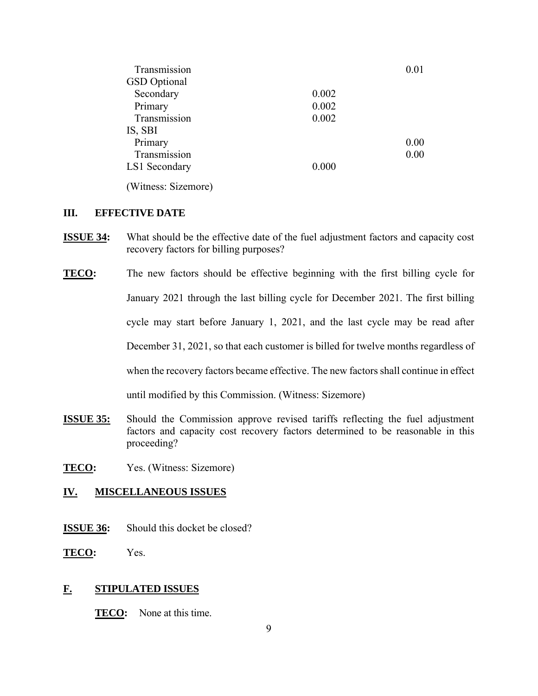| Transmission        |       | 0.01 |
|---------------------|-------|------|
| <b>GSD</b> Optional |       |      |
| Secondary           | 0.002 |      |
| Primary             | 0.002 |      |
| Transmission        | 0.002 |      |
| IS, SBI             |       |      |
| Primary             |       | 0.00 |
| Transmission        |       | 0.00 |
| LS1 Secondary       | 0.000 |      |
| (Witness: Sizemore) |       |      |

# **III. EFFECTIVE DATE**

- **ISSUE 34:** What should be the effective date of the fuel adjustment factors and capacity cost recovery factors for billing purposes?
- **TECO:** The new factors should be effective beginning with the first billing cycle for January 2021 through the last billing cycle for December 2021. The first billing cycle may start before January 1, 2021, and the last cycle may be read after December 31, 2021, so that each customer is billed for twelve months regardless of when the recovery factors became effective. The new factors shall continue in effect until modified by this Commission. (Witness: Sizemore)
- **ISSUE 35:** Should the Commission approve revised tariffs reflecting the fuel adjustment factors and capacity cost recovery factors determined to be reasonable in this proceeding?
- **TECO:** Yes. (Witness: Sizemore)

# **IV. MISCELLANEOUS ISSUES**

- **ISSUE 36:** Should this docket be closed?
- **TECO:** Yes.

# **F. STIPULATED ISSUES**

**TECO:** None at this time.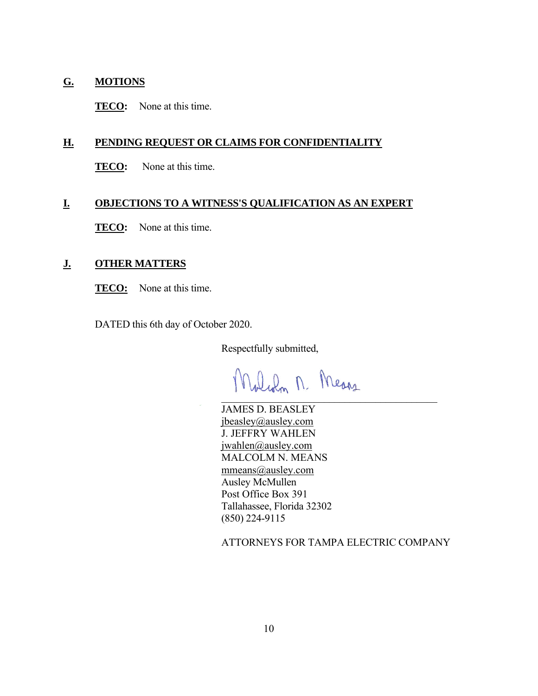# **G. MOTIONS**

**TECO:** None at this time.

# **H. PENDING REQUEST OR CLAIMS FOR CONFIDENTIALITY**

**TECO:** None at this time.

# **I. OBJECTIONS TO A WITNESS'S QUALIFICATION AS AN EXPERT**

**TECO:** None at this time.

#### **J. OTHER MATTERS**

**TECO:** None at this time.

DATED this 6th day of October 2020.

Respectfully submitted,

DuRon M. Means  $\mathcal{L}=\mathcal{L}$  , which is a set of  $\mathcal{L}=\mathcal{L}$  , where  $\mathcal{L}=\mathcal{L}$  , we have the set of  $\mathcal{L}=\mathcal{L}$ 

JAMES D. BEASLEY jbeasley@ausley.com J. JEFFRY WAHLEN jwahlen@ausley.com MALCOLM N. MEANS mmeans@ausley.com Ausley McMullen Post Office Box 391 Tallahassee, Florida 32302 (850) 224-9115

ATTORNEYS FOR TAMPA ELECTRIC COMPANY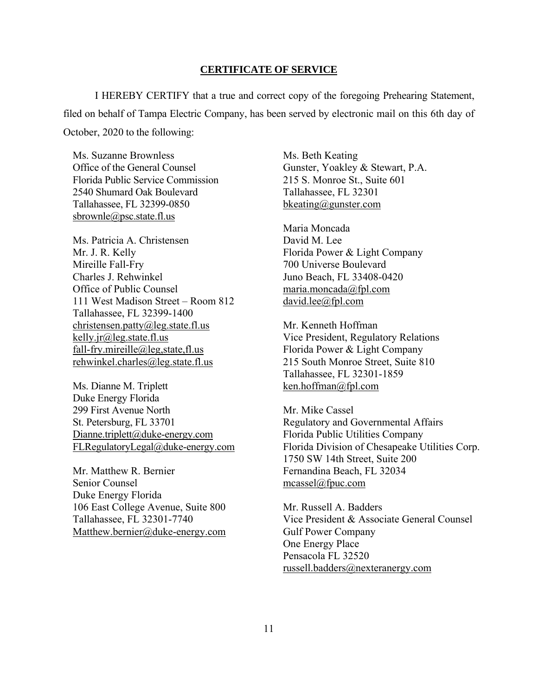#### **CERTIFICATE OF SERVICE**

I HEREBY CERTIFY that a true and correct copy of the foregoing Prehearing Statement, filed on behalf of Tampa Electric Company, has been served by electronic mail on this 6th day of October, 2020 to the following:

Ms. Suzanne Brownless Office of the General Counsel Florida Public Service Commission 2540 Shumard Oak Boulevard Tallahassee, FL 32399-0850 sbrownle@psc.state.fl.us

Ms. Patricia A. Christensen Mr. J. R. Kelly Mireille Fall-Fry Charles J. Rehwinkel Office of Public Counsel 111 West Madison Street – Room 812 Tallahassee, FL 32399-1400 christensen.patty@leg.state.fl.us kelly.jr@leg.state.fl.us fall-fry.mireille@leg,state,fl.us rehwinkel.charles@leg.state.fl.us

Ms. Dianne M. Triplett Duke Energy Florida 299 First Avenue North St. Petersburg, FL 33701 Dianne.triplett@duke-energy.com FLRegulatoryLegal@duke-energy.com

Mr. Matthew R. Bernier Senior Counsel Duke Energy Florida 106 East College Avenue, Suite 800 Tallahassee, FL 32301-7740 Matthew.bernier@duke-energy.com Ms. Beth Keating Gunster, Yoakley & Stewart, P.A. 215 S. Monroe St., Suite 601 Tallahassee, FL 32301 bkeating@gunster.com

Maria Moncada David M. Lee Florida Power & Light Company 700 Universe Boulevard Juno Beach, FL 33408-0420 maria.moncada@fpl.com david.lee@fpl.com

Mr. Kenneth Hoffman Vice President, Regulatory Relations Florida Power & Light Company 215 South Monroe Street, Suite 810 Tallahassee, FL 32301-1859 ken.hoffman@fpl.com

Mr. Mike Cassel Regulatory and Governmental Affairs Florida Public Utilities Company Florida Division of Chesapeake Utilities Corp. 1750 SW 14th Street, Suite 200 Fernandina Beach, FL 32034 mcassel@fpuc.com

Mr. Russell A. Badders Vice President & Associate General Counsel Gulf Power Company One Energy Place Pensacola FL 32520 russell.badders@nexteranergy.com